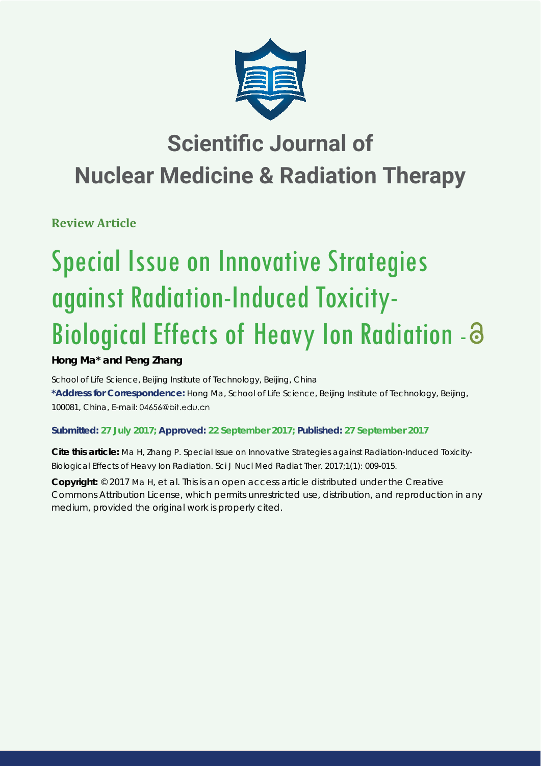

# **Scientific Journal of Nuclear Medicine & Radiation Therapy**

**Review Article**

# Special Issue on Innovative Strategies against Radiation-Induced Toxicity-Biological Effects of Heavy Ion Radiation -

# **Hong Ma\* and Peng Zhang**

*School of Life Science, Beijing Institute of Technology, Beijing, China* **\*Address for Correspondence:** Hong Ma, School of Life Science, Beijing Institute of Technology, Beijing, 100081, China, E-mail:

# **Submitted: 27 July 2017; Approved: 22 September 2017; Published: 27 September 2017**

**Cite this article:** Ma H, Zhang P. Special Issue on Innovative Strategies against Radiation-Induced Toxicity-Biological Effects of Heavy Ion Radiation. Sci J Nucl Med Radiat Ther. 2017;1(1): 009-015.

**Copyright:** © 2017 Ma H, et al. This is an open access article distributed under the Creative Commons Attribution License, which permits unrestricted use, distribution, and reproduction in any medium, provided the original work is properly cited.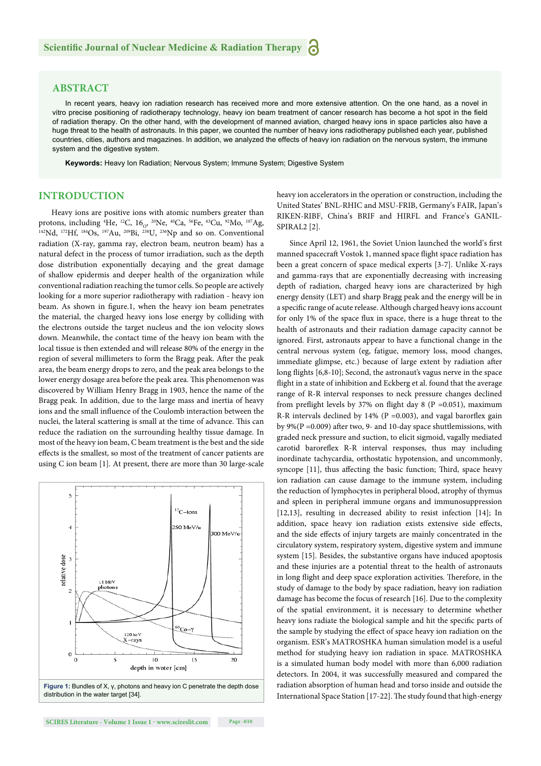#### **ABSTRACT**

In recent years, heavy ion radiation research has received more and more extensive attention. On the one hand, as a novel in vitro precise positioning of radiotherapy technology, heavy ion beam treatment of cancer research has become a hot spot in the field of radiation therapy. On the other hand, with the development of manned aviation, charged heavy ions in space particles also have a huge threat to the health of astronauts. In this paper, we counted the number of heavy ions radiotherapy published each year, published countries, cities, authors and magazines. In addition, we analyzed the effects of heavy ion radiation on the nervous system, the immune system and the digestive system.

**Keywords:** Heavy Ion Radiation; Nervous System; Immune System; Digestive System

### **INTRODUCTION**

Heavy ions are positive ions with atomic numbers greater than protons, including <sup>4</sup>He, <sup>12</sup>C, 16<sub>0</sub>, <sup>20</sup>Ne, <sup>40</sup>Ca, <sup>56</sup>Fe, <sup>63</sup>Cu, <sup>92</sup>Mo, <sup>107</sup>Ag,  $^{142}Nd$ ,  $^{172}Hf$ ,  $^{184}Os$ ,  $^{197}Au$ ,  $^{209}Bi$ ,  $^{238}U$ ,  $^{236}Np$  and so on. Conventional radiation (X-ray, gamma ray, electron beam, neutron beam) has a natural defect in the process of tumor irradiation, such as the depth dose distribution exponentially decaying and the great damage of shallow epidermis and deeper health of the organization while conventional radiation reaching the tumor cells. So people are actively looking for a more superior radiotherapy with radiation - heavy ion beam. As shown in figure.1, when the heavy ion beam penetrates the material, the charged heavy ions lose energy by colliding with the electrons outside the target nucleus and the ion velocity slows down. Meanwhile, the contact time of the heavy ion beam with the local tissue is then extended and will release 80% of the energy in the region of several millimeters to form the Bragg peak. After the peak area, the beam energy drops to zero, and the peak area belongs to the lower energy dosage area before the peak area. This phenomenon was discovered by William Henry Bragg in 1903, hence the name of the Bragg peak. In addition, due to the large mass and inertia of heavy ions and the small influence of the Coulomb interaction between the nuclei, the lateral scattering is small at the time of advance. This can reduce the radiation on the surrounding healthy tissue damage. In most of the heavy ion beam, C beam treatment is the best and the side effects is the smallest, so most of the treatment of cancer patients are using C ion beam [1]. At present, there are more than 30 large-scale



distribution in the water target [34].

heavy ion accelerators in the operation or construction, including the United States' BNL-RHIC and MSU-FRIB, Germany's FAIR, Japan's RIKEN-RIBF, China's BRIF and HIRFL and France's GANIL-SPIRAL2 [2].

Since April 12, 1961, the Soviet Union launched the world's first manned spacecraft Vostok 1, manned space flight space radiation has been a great concern of space medical experts [3-7]. Unlike X-rays and gamma-rays that are exponentially decreasing with increasing depth of radiation, charged heavy ions are characterized by high energy density (LET) and sharp Bragg peak and the energy will be in a specific range of acute release. Although charged heavy ions account for only 1% of the space flux in space, there is a huge threat to the health of astronauts and their radiation damage capacity cannot be ignored. First, astronauts appear to have a functional change in the central nervous system (eg, fatigue, memory loss, mood changes, immediate glimpse, etc.) because of large extent by radiation after long flights [6,8-10]; Second, the astronaut's vagus nerve in the space flight in a state of inhibition and Eckberg et al. found that the average range of R-R interval responses to neck pressure changes declined from preflight levels by 37% on flight day 8 (P = 0.051), maximum R-R intervals declined by  $14\%$  (P =0.003), and vagal barorflex gain by 9%( $P = 0.009$ ) after two, 9- and 10-day space shuttlemissions, with graded neck pressure and suction, to elicit sigmoid, vagally mediated carotid baroreflex R-R interval responses, thus may including inordinate tachycardia, orthostatic hypotension, and uncommonly, syncope [11], thus affecting the basic function; Third, space heavy ion radiation can cause damage to the immune system, including the reduction of lymphocytes in peripheral blood, atrophy of thymus and spleen in peripheral immune organs and immunosuppression [12,13], resulting in decreased ability to resist infection [14]; In addition, space heavy ion radiation exists extensive side effects, and the side effects of injury targets are mainly concentrated in the circulatory system, respiratory system, digestive system and immune system [15]. Besides, the substantive organs have induced apoptosis and these injuries are a potential threat to the health of astronauts in long flight and deep space exploration activities. Therefore, in the study of damage to the body by space radiation, heavy ion radiation damage has become the focus of research [16]. Due to the complexity of the spatial environment, it is necessary to determine whether heavy ions radiate the biological sample and hit the specific parts of the sample by studying the effect of space heavy ion radiation on the organism. ESR's MATROSHKA human simulation model is a useful method for studying heavy ion radiation in space. MATROSHKA is a simulated human body model with more than 6,000 radiation detectors. In 2004, it was successfully measured and compared the radiation absorption of human head and torso inside and outside the International Space Station [17-22]. The study found that high-energy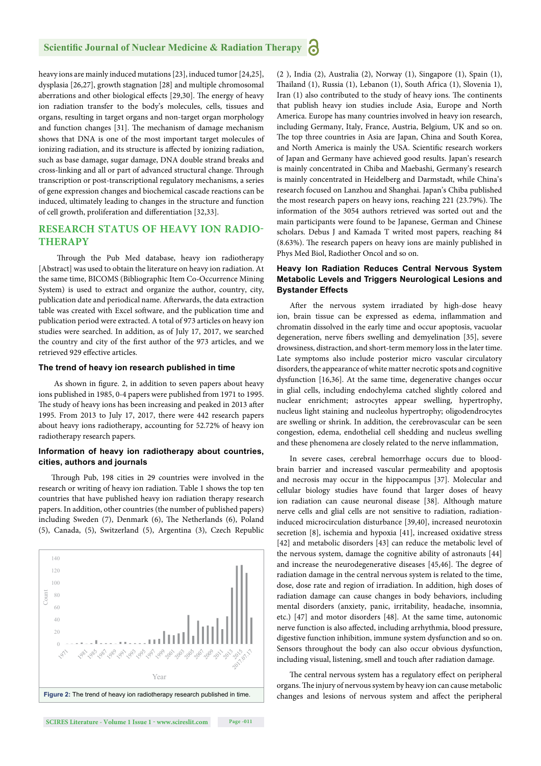heavy ions are mainly induced mutations [23], induced tumor [24,25], dysplasia [26,27], growth stagnation [28] and multiple chromosomal aberrations and other biological effects [29,30]. The energy of heavy ion radiation transfer to the body's molecules, cells, tissues and organs, resulting in target organs and non-target organ morphology and function changes [31]. The mechanism of damage mechanism shows that DNA is one of the most important target molecules of ionizing radiation, and its structure is affected by ionizing radiation, such as base damage, sugar damage, DNA double strand breaks and cross-linking and all or part of advanced structural change. Through transcription or post-transcriptional regulatory mechanisms, a series of gene expression changes and biochemical cascade reactions can be induced, ultimately leading to changes in the structure and function of cell growth, proliferation and differentiation [32,33].

#### **RESEARCH STATUS OF HEAVY ION RADIO-THERAPY**

Through the Pub Med database, heavy ion radiotherapy [Abstract] was used to obtain the literature on heavy ion radiation. At the same time, BICOMS (Bibliographic Item Co-Occurrence Mining System) is used to extract and organize the author, country, city, publication date and periodical name. Afterwards, the data extraction table was created with Excel software, and the publication time and publication period were extracted. A total of 973 articles on heavy ion studies were searched. In addition, as of July 17, 2017, we searched the country and city of the first author of the 973 articles, and we retrieved 929 effective articles.

#### **The trend of heavy ion research published in time**

As shown in figure. 2, in addition to seven papers about heavy ions published in 1985, 0-4 papers were published from 1971 to 1995. The study of heavy ions has been increasing and peaked in 2013 after 1995. From 2013 to July 17, 2017, there were 442 research papers about heavy ions radiotherapy, accounting for 52.72% of heavy ion radiotherapy research papers.

#### **Information of heavy ion radiotherapy about countries, cities, authors and journals**

Through Pub, 198 cities in 29 countries were involved in the research or writing of heavy ion radiation. Table 1 shows the top ten countries that have published heavy ion radiation therapy research papers. In addition, other countries (the number of published papers) including Sweden (7), Denmark (6), The Netherlands (6), Poland (5), Canada, (5), Switzerland (5), Argentina (3), Czech Republic



(2 ), India (2), Australia (2), Norway (1), Singapore (1), Spain (1), Thailand (1), Russia (1), Lebanon (1), South Africa (1), Slovenia 1), Iran (1) also contributed to the study of heavy ions. The continents that publish heavy ion studies include Asia, Europe and North America. Europe has many countries involved in heavy ion research, including Germany, Italy, France, Austria, Belgium, UK and so on. The top three countries in Asia are Japan, China and South Korea, and North America is mainly the USA. Scientific research workers of Japan and Germany have achieved good results. Japan's research is mainly concentrated in Chiba and Maebashi, Germany's research is mainly concentrated in Heidelberg and Darmstadt, while China's research focused on Lanzhou and Shanghai. Japan's Chiba published the most research papers on heavy ions, reaching 221 (23.79%). The information of the 3054 authors retrieved was sorted out and the main participants were found to be Japanese, German and Chinese scholars. Debus J and Kamada T writed most papers, reaching 84 (8.63%). The research papers on heavy ions are mainly published in Phys Med Biol, Radiother Oncol and so on.

#### **Heavy Ion Radiation Reduces Central Nervous System Metabolic Levels and Triggers Neurological Lesions and Bystander Effects**

After the nervous system irradiated by high-dose heavy ion, brain tissue can be expressed as edema, inflammation and chromatin dissolved in the early time and occur apoptosis, vacuolar degeneration, nerve fibers swelling and demyelination [35], severe drowsiness, distraction, and short-term memory loss in the later time. Late symptoms also include posterior micro vascular circulatory disorders, the appearance of white matter necrotic spots and cognitive dysfunction [16,36]. At the same time, degenerative changes occur in glial cells, including endochylema catched slightly colored and nuclear enrichment; astrocytes appear swelling, hypertrophy, nucleus light staining and nucleolus hypertrophy; oligodendrocytes are swelling or shrink. In addition, the cerebrovascular can be seen congestion, edema, endothelial cell shedding and nucleus swelling and these phenomena are closely related to the nerve inflammation,

In severe cases, cerebral hemorrhage occurs due to bloodbrain barrier and increased vascular permeability and apoptosis and necrosis may occur in the hippocampus [37]. Molecular and cellular biology studies have found that larger doses of heavy ion radiation can cause neuronal disease [38]. Although mature nerve cells and glial cells are not sensitive to radiation, radiationinduced microcirculation disturbance [39,40], increased neurotoxin secretion [8], ischemia and hypoxia [41], increased oxidative stress [42] and metabolic disorders [43] can reduce the metabolic level of the nervous system, damage the cognitive ability of astronauts [44] and increase the neurodegenerative diseases [45,46]. The degree of radiation damage in the central nervous system is related to the time, dose, dose rate and region of irradiation. In addition, high doses of radiation damage can cause changes in body behaviors, including mental disorders (anxiety, panic, irritability, headache, insomnia, etc.) [47] and motor disorders [48]. At the same time, autonomic nerve function is also affected, including arrhythmia, blood pressure, digestive function inhibition, immune system dysfunction and so on. Sensors throughout the body can also occur obvious dysfunction, including visual, listening, smell and touch after radiation damage.

The central nervous system has a regulatory effect on peripheral organs. The injury of nervous system by heavy ion can cause metabolic changes and lesions of nervous system and affect the peripheral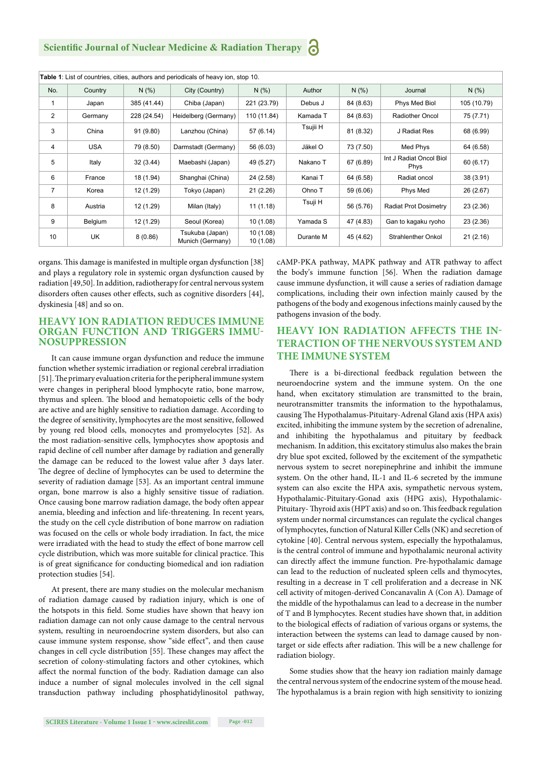**Scientific Journal of Nuclear Medicine & Radiation Therapy** 

| Table 1: List of countries, cities, authors and periodicals of heavy ion, stop 10. |            |             |                                     |                       |           |           |                                        |             |
|------------------------------------------------------------------------------------|------------|-------------|-------------------------------------|-----------------------|-----------|-----------|----------------------------------------|-------------|
| No.                                                                                | Country    | N(% )       | City (Country)                      | N(% )                 | Author    | N(% )     | Journal                                | N(% )       |
| $\mathbf{1}$                                                                       | Japan      | 385 (41.44) | Chiba (Japan)                       | 221 (23.79)           | Debus J   | 84 (8.63) | Phys Med Biol                          | 105 (10.79) |
| $\overline{2}$                                                                     | Germany    | 228 (24.54) | Heidelberg (Germany)                | 110 (11.84)           | Kamada T  | 84 (8.63) | <b>Radiother Oncol</b>                 | 75 (7.71)   |
| 3                                                                                  | China      | 91(9.80)    | Lanzhou (China)                     | 57 (6.14)             | Tsujii H  | 81 (8.32) | J Radiat Res                           | 68 (6.99)   |
| 4                                                                                  | <b>USA</b> | 79 (8.50)   | Darmstadt (Germany)                 | 56 (6.03)             | Jäkel O   | 73 (7.50) | Med Phys                               | 64 (6.58)   |
| 5                                                                                  | Italy      | 32(3.44)    | Maebashi (Japan)                    | 49 (5.27)             | Nakano T  | 67 (6.89) | Int J Radiat Oncol Biol<br><b>Phys</b> | 60 (6.17)   |
| 6                                                                                  | France     | 18 (1.94)   | Shanghai (China)                    | 24 (2.58)             | Kanai T   | 64 (6.58) | Radiat oncol                           | 38 (3.91)   |
| $\overline{7}$                                                                     | Korea      | 12 (1.29)   | Tokyo (Japan)                       | 21(2.26)              | Ohno T    | 59 (6.06) | Phys Med                               | 26 (2.67)   |
| 8                                                                                  | Austria    | 12 (1.29)   | Milan (Italy)                       | 11(1.18)              | Tsuji H   | 56 (5.76) | Radiat Prot Dosimetry                  | 23(2.36)    |
| 9                                                                                  | Belgium    | 12 (1.29)   | Seoul (Korea)                       | 10(1.08)              | Yamada S  | 47 (4.83) | Gan to kagaku ryoho                    | 23(2.36)    |
| 10                                                                                 | UK         | 8(0.86)     | Tsukuba (Japan)<br>Munich (Germany) | 10(1.08)<br>10 (1.08) | Durante M | 45 (4.62) | <b>Strahlenther Onkol</b>              | 21(2.16)    |

organs. This damage is manifested in multiple organ dysfunction [38] and plays a regulatory role in systemic organ dysfunction caused by radiation [49,50]. In addition, radiotherapy for central nervous system disorders often causes other effects, such as cognitive disorders [44], dyskinesia [48] and so on.

#### **HEAVY ION RADIATION REDUCES IMMUNE ORGAN FUNCTION AND TRIGGERS IMMU-NOSUPPRESSION**

It can cause immune organ dysfunction and reduce the immune function whether systemic irradiation or regional cerebral irradiation [51]. The primary evaluation criteria for the peripheral immune system were changes in peripheral blood lymphocyte ratio, bone marrow, thymus and spleen. The blood and hematopoietic cells of the body are active and are highly sensitive to radiation damage. According to the degree of sensitivity, lymphocytes are the most sensitive, followed by young red blood cells, monocytes and promyelocytes [52]. As the most radiation-sensitive cells, lymphocytes show apoptosis and rapid decline of cell number after damage by radiation and generally the damage can be reduced to the lowest value after 3 days later. The degree of decline of lymphocytes can be used to determine the severity of radiation damage [53]. As an important central immune organ, bone marrow is also a highly sensitive tissue of radiation. Once causing bone marrow radiation damage, the body often appear anemia, bleeding and infection and life-threatening. In recent years, the study on the cell cycle distribution of bone marrow on radiation was focused on the cells or whole body irradiation. In fact, the mice were irradiated with the head to study the effect of bone marrow cell cycle distribution, which was more suitable for clinical practice. This is of great significance for conducting biomedical and ion radiation protection studies [54].

At present, there are many studies on the molecular mechanism of radiation damage caused by radiation injury, which is one of the hotspots in this field. Some studies have shown that heavy ion radiation damage can not only cause damage to the central nervous system, resulting in neuroendocrine system disorders, but also can cause immune system response, show "side effect", and then cause changes in cell cycle distribution [55]. These changes may affect the secretion of colony-stimulating factors and other cytokines, which affect the normal function of the body. Radiation damage can also induce a number of signal molecules involved in the cell signal transduction pathway including phosphatidylinositol pathway, cAMP-PKA pathway, MAPK pathway and ATR pathway to affect the body's immune function [56]. When the radiation damage cause immune dysfunction, it will cause a series of radiation damage complications, including their own infection mainly caused by the pathogens of the body and exogenous infections mainly caused by the pathogens invasion of the body.

# **HEAVY ION RADIATION AFFECTS THE IN-TERACTION OF THE NERVOUS SYSTEM AND THE IMMUNE SYSTEM**

There is a bi-directional feedback regulation between the neuroendocrine system and the immune system. On the one hand, when excitatory stimulation are transmitted to the brain, neurotransmitter transmits the information to the hypothalamus, causing The Hypothalamus-Pituitary-Adrenal Gland axis (HPA axis) excited, inhibiting the immune system by the secretion of adrenaline, and inhibiting the hypothalamus and pituitary by feedback mechanism. In addition, this excitatory stimulus also makes the brain dry blue spot excited, followed by the excitement of the sympathetic nervous system to secret norepinephrine and inhibit the immune system. On the other hand, IL-1 and IL-6 secreted by the immune system can also excite the HPA axis, sympathetic nervous system, Hypothalamic-Pituitary-Gonad axis (HPG axis), Hypothalamic-Pituitary- Thyroid axis (HPT axis) and so on. This feedback regulation system under normal circumstances can regulate the cyclical changes of lymphocytes, function of Natural Killer Cells (NK) and secretion of cytokine [40]. Central nervous system, especially the hypothalamus, is the central control of immune and hypothalamic neuronal activity can directly affect the immune function. Pre-hypothalamic damage can lead to the reduction of nucleated spleen cells and thymocytes, resulting in a decrease in T cell proliferation and a decrease in NK cell activity of mitogen-derived Concanavalin A (Con A). Damage of the middle of the hypothalamus can lead to a decrease in the number of T and B lymphocytes. Recent studies have shown that, in addition to the biological effects of radiation of various organs or systems, the interaction between the systems can lead to damage caused by nontarget or side effects after radiation. This will be a new challenge for radiation biology.

Some studies show that the heavy ion radiation mainly damage the central nervous system of the endocrine system of the mouse head. The hypothalamus is a brain region with high sensitivity to ionizing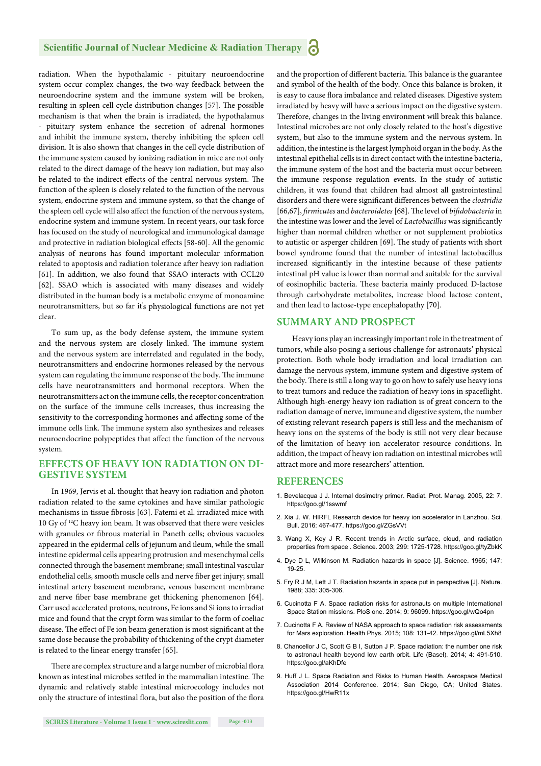#### **Scientific Journal of Nuclear Medicine & Radiation Therapy**

radiation. When the hypothalamic - pituitary neuroendocrine system occur complex changes, the two-way feedback between the neuroendocrine system and the immune system will be broken, resulting in spleen cell cycle distribution changes [57]. The possible mechanism is that when the brain is irradiated, the hypothalamus - pituitary system enhance the secretion of adrenal hormones and inhibit the immune system, thereby inhibiting the spleen cell division. It is also shown that changes in the cell cycle distribution of the immune system caused by ionizing radiation in mice are not only related to the direct damage of the heavy ion radiation, but may also be related to the indirect effects of the central nervous system. The function of the spleen is closely related to the function of the nervous system, endocrine system and immune system, so that the change of the spleen cell cycle will also affect the function of the nervous system, endocrine system and immune system. In recent years, our task force has focused on the study of neurological and immunological damage and protective in radiation biological effects [58-60]. All the genomic analysis of neurons has found important molecular information related to apoptosis and radiation tolerance after heavy ion radiation [61]. In addition, we also found that SSAO interacts with CCL20 [62]. SSAO which is associated with many diseases and widely distributed in the human body is a metabolic enzyme of monoamine neurotransmitters, but so far it' s physiological functions are not yet clear.

To sum up, as the body defense system, the immune system and the nervous system are closely linked. The immune system and the nervous system are interrelated and regulated in the body, neurotransmitters and endocrine hormones released by the nervous system can regulating the immune response of the body. The immune cells have neurotransmitters and hormonal receptors. When the neurotransmitters act on the immune cells, the receptor concentration on the surface of the immune cells increases, thus increasing the sensitivity to the corresponding hormones and affecting some of the immune cells link. The immune system also synthesizes and releases neuroendocrine polypeptides that affect the function of the nervous system.

#### **EFFECTS OF HEAVY ION RADIATION ON DI-GESTIVE SYSTEM**

In 1969, Jervis et al. thought that heavy ion radiation and photon radiation related to the same cytokines and have similar pathologic mechanisms in tissue fibrosis [63]. Fatemi et al. irradiated mice with 10 Gy of 12C heavy ion beam. It was observed that there were vesicles with granules or fibrous material in Paneth cells; obvious vacuoles appeared in the epidermal cells of jejunum and ileum, while the small intestine epidermal cells appearing protrusion and mesenchymal cells connected through the basement membrane; small intestinal vascular endothelial cells, smooth muscle cells and nerve fiber get injury; small intestinal artery basement membrane, venous basement membrane and nerve fiber base membrane get thickening phenomenon [64]. Carr used accelerated protons, neutrons, Fe ions and Si ions to irradiat mice and found that the crypt form was similar to the form of coeliac disease. The effect of Fe ion beam generation is most significant at the same dose because the probability of thickening of the crypt diameter is related to the linear energy transfer [65].

There are complex structure and a large number of microbial flora known as intestinal microbes settled in the mammalian intestine. The dynamic and relatively stable intestinal microecology includes not only the structure of intestinal flora, but also the position of the flora

and the proportion of different bacteria. This balance is the guarantee and symbol of the health of the body. Once this balance is broken, it is easy to cause flora imbalance and related diseases. Digestive system irradiated by heavy will have a serious impact on the digestive system. Therefore, changes in the living environment will break this balance. Intestinal microbes are not only closely related to the host's digestive system, but also to the immune system and the nervous system. In addition, the intestine is the largest lymphoid organ in the body. As the intestinal epithelial cells is in direct contact with the intestine bacteria, the immune system of the host and the bacteria must occur between the immune response regulation events. In the study of autistic children, it was found that children had almost all gastrointestinal disorders and there were significant differences between the *clostridia* [66,67], *firmicutes* and *bacteroidetes* [68]. The level of *bifidobacteria* in the intestine was lower and the level of *Lactobacillus* was significantly higher than normal children whether or not supplement probiotics to autistic or asperger children [69]. The study of patients with short bowel syndrome found that the number of intestinal lactobacillus increased significantly in the intestine because of these patients intestinal pH value is lower than normal and suitable for the survival of eosinophilic bacteria. These bacteria mainly produced D-lactose through carbohydrate metabolites, increase blood lactose content, and then lead to lactose-type encephalopathy [70].

#### **SUMMARY AND PROSPECT**

 Heavy ions play an increasingly important role in the treatment of tumors, while also posing a serious challenge for astronauts' physical protection. Both whole body irradiation and local irradiation can damage the nervous system, immune system and digestive system of the body. There is still a long way to go on how to safely use heavy ions to treat tumors and reduce the radiation of heavy ions in spaceflight. Although high-energy heavy ion radiation is of great concern to the radiation damage of nerve, immune and digestive system, the number of existing relevant research papers is still less and the mechanism of heavy ions on the systems of the body is still not very clear because of the limitation of heavy ion accelerator resource conditions. In addition, the impact of heavy ion radiation on intestinal microbes will attract more and more researchers' attention.

#### **REFERENCES**

- 1. Bevelacqua J J. Internal dosimetry primer. Radiat. Prot. Manag. 2005, 22: 7. https://goo.gl/1sswmf
- 2. Xia J. W. HIRFL Research device for heavy ion accelerator in Lanzhou. Sci. Bull. 2016: 467-477. https://goo.gl/ZGsVVt
- 3. Wang X, Key J R. Recent trends in Arctic surface, cloud, and radiation properties from space . Science. 2003; 299: 1725-1728. https://goo.gl/tyZbkK
- 4. Dye D L, Wilkinson M. Radiation hazards in space [J]. Science. 1965; 147: 19-25.
- 5. Fry R J M, Lett J T. Radiation hazards in space put in perspective [J]. Nature. 1988; 335: 305-306.
- 6. Cucinotta F A. Space radiation risks for astronauts on multiple International Space Station missions. PloS one. 2014; 9: 96099. https://goo.gl/wQo4pn
- 7. Cucinotta F A. Review of NASA approach to space radiation risk assessments for Mars exploration. Health Phys. 2015; 108: 131-42. https://goo.gl/mL5Xh8
- 8. Chancellor J C, Scott G B I, Sutton J P. Space radiation: the number one risk to astronaut health beyond low earth orbit. Life (Basel). 2014; 4: 491-510. https://goo.gl/aKhDfe
- 9. Huff J L. Space Radiation and Risks to Human Health. Aerospace Medical Association 2014 Conference. 2014; San Diego, CA; United States. https://goo.gl/HwR11x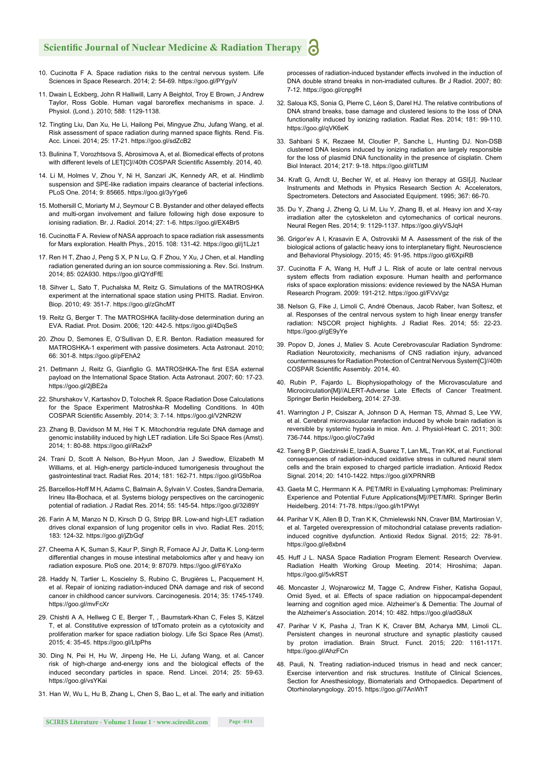- 10. Cucinotta F A. Space radiation risks to the central nervous system. Life Sciences in Space Research. 2014; 2: 54-69. https://goo.gl/PYgyiV
- 11. Dwain L Eckberg, John R Halliwill, Larry A Beightol, Troy E Brown, J Andrew Taylor, Ross Goble. Human vagal baroreflex mechanisms in space. J. Physiol. (Lond.). 2010; 588: 1129-1138.
- 12. Tingting Liu, Dan Xu, He Li, Hailong Pei, Mingyue Zhu, Jufang Wang, et al. Risk assessment of space radiation during manned space flights. Rend. Fis. Acc. Lincei. 2014; 25: 17-21. https://goo.gl/sdZcB2
- 13. Bulinina T, Vorozhtsova S, Abrosimova A, et al. Biomedical effects of protons with different levels of LETICI//40th COSPAR Scientific Assembly, 2014, 40.
- 14. Li M, Holmes V, Zhou Y, Ni H, Sanzari JK, Kennedy AR, et al. Hindlimb suspension and SPE-like radiation impairs clearance of bacterial infections. PLoS One. 2014; 9: 85665. https://goo.gl/3yYge6
- 15. Mothersill C, Moriarty M J, Seymour C B. Bystander and other delayed effects and multi-organ involvement and failure following high dose exposure to ionising radiation. Br. J. Radiol. 2014; 27: 1-6. https://goo.gl/EX4Br5
- 16. Cucinotta F A. Review of NASA approach to space radiation risk assessments for Mars exploration. Health Phys., 2015. 108: 131-42. https://goo.gl/j1LJz1
- 17. Ren H T, Zhao J, Peng S X, P N Lu, Q. F Zhou, Y Xu, J Chen, et al. Handling radiation generated during an ion source commissioning a. Rev. Sci. Instrum. 2014; 85: 02A930. https://goo.gl/QYdFfE
- 18. Sihver L, Sato T, Puchalska M, Reitz G. Simulations of the MATROSHKA experiment at the international space station using PHITS. Radiat. Environ. Biop. 2010; 49: 351-7. https://goo.gl/zGhcMT
- 19. Reitz G, Berger T. The MATROSHKA facility-dose determination during an EVA. Radiat. Prot. Dosim. 2006; 120: 442-5. https://goo.gl/4DqSeS
- 20. Zhou D, Semones E, O'Sullivan D, E.R. Benton. Radiation measured for MATROSHKA-1 experiment with passive dosimeters. Acta Astronaut. 2010; 66: 301-8. https://goo.gl/pFEhA2
- 21. Dettmann J, Reitz G, Gianfiglio G. MATROSHKA-The first ESA external payload on the International Space Station. Acta Astronaut. 2007; 60: 17-23. https://goo.gl/2jBE2a
- 22. Shurshakov V, Kartashov D, Tolochek R. Space Radiation Dose Calculations for the Space Experiment Matroshka-R Modelling Conditions. In 40th COSPAR Scientific Assembly. 2014; 3: 7-14. https://goo.gl/V2NR2W
- 23. Zhang B, Davidson M M, Hei T K. Mitochondria regulate DNA damage and genomic instability induced by high LET radiation. Life Sci Space Res (Amst). 2014; 1: 80-88. https://goo.gl/iRa2xP
- 24. Trani D, Scott A Nelson, Bo-Hyun Moon, Jan J Swedlow, Elizabeth M Williams, et al. High-energy particle-induced tumorigenesis throughout the gastrointestinal tract. Radiat Res. 2014; 181: 162-71. https://goo.gl/G5bRoa
- 25. Barcellos-Hoff M H, Adams C, Balmain A, Sylvain V. Costes, Sandra Demaria, Irineu Illa-Bochaca, et al. Systems biology perspectives on the carcinogenic potential of radiation. J Radiat Res. 2014; 55: 145-54. https://goo.gl/32i89Y
- 26. Farin A M, Manzo N D, Kirsch D G, Stripp BR. Low-and high-LET radiation drives clonal expansion of lung progenitor cells in vivo. Radiat Res. 2015; 183: 124-32. https://goo.gl/jZbGqf
- 27. Cheema A K, Suman S, Kaur P, Singh R, Fornace AJ Jr, Datta K. Long-term differential changes in mouse intestinal metabolomics after γ and heavy ion radiation exposure. PloS one. 2014; 9: 87079. https://goo.gl/F6YaXo
- 28. Haddy N, Tartier L, Koscielny S, Rubino C, Brugières L, Pacquement H, et al. Repair of ionizing radiation-induced DNA damage and risk of second cancer in childhood cancer survivors. Carcinogenesis. 2014; 35: 1745-1749. https://goo.gl/mvFcXr
- 29. Chishti A A, Hellweg C E, Berger T, , Baumstark-Khan C, Feles S, Kätzel T, et al. Constitutive expression of tdTomato protein as a cytotoxicity and proliferation marker for space radiation biology. Life Sci Space Res (Amst). 2015; 4: 35-45. https://goo.gl/LtpPhs
- 30. Ding N, Pei H, Hu W, Jinpeng He, He Li, Jufang Wang, et al. Cancer risk of high-charge and-energy ions and the biological effects of the induced secondary particles in space. Rend. Lincei. 2014; 25: 59-63. https://goo.gl/vsYKai
- 31. Han W, Wu L, Hu B, Zhang L, Chen S, Bao L, et al. The early and initiation

processes of radiation-induced bystander effects involved in the induction of DNA double strand breaks in non-irradiated cultures. Br J Radiol. 2007; 80: 7-12. https://goo.gl/cnpgfH

- 32. Saloua KS, Sonia G, Pierre C, Léon S, Darel HJ. The relative contributions of DNA strand breaks, base damage and clustered lesions to the loss of DNA functionality induced by ionizing radiation. Radiat Res. 2014; 181: 99-110. https://goo.gl/qVK6eK
- 33. Sahbani S K, Rezaee M, Cloutier P, Sanche L, Hunting DJ. Non-DSB clustered DNA lesions induced by ionizing radiation are largely responsible for the loss of plasmid DNA functionality in the presence of cisplatin. Chem Biol Interact. 2014; 217: 9-18. https://goo.gl/itTLtM
- 34. Kraft G, Arndt U, Becher W, et al. Heavy ion therapy at GSI[J]. Nuclear Instruments and Methods in Physics Research Section A: Accelerators, Spectrometers. Detectors and Associated Equipment. 1995; 367: 66-70.
- 35. Du Y, Zhang J, Zheng Q, Li M, Liu Y, Zhang B, et al. Heavy ion and X-ray irradiation alter the cytoskeleton and cytomechanics of cortical neurons. Neural Regen Res. 2014; 9: 1129-1137. https://goo.gl/yVSJqH
- 36. Grigor'ev A I, Krasavin E A, Ostrovskii M A. Assessment of the risk of the biological actions of galactic heavy ions to interplanetary flight. Neuroscience and Behavioral Physiology. 2015; 45: 91-95. https://goo.gl/6XpiRB
- 37. Cucinotta F A, Wang H, Huff J L. Risk of acute or late central nervous system effects from radiation exposure. Human health and performance risks of space exploration missions: evidence reviewed by the NASA Human Research Program. 2009: 191-212. https://goo.gl/FVxVgz
- 38. Nelson G, Fike J, Limoli C, André Obenaus, Jacob Raber, Ivan Soltesz, et al. Responses of the central nervous system to high linear energy transfer radiation: NSCOR project highlights. J Radiat Res. 2014; 55: 22-23. https://goo.gl/gE9yYe
- 39. Popov D, Jones J, Maliev S. Acute Cerebrovascular Radiation Syndrome: Radiation Neurotoxicity, mechanisms of CNS radiation injury, advanced countermeasures for Radiation Protection of Central Nervous System[C]//40th COSPAR Scientific Assembly. 2014, 40.
- 40. Rubin P, Fajardo L. Biophysiopathology of the Microvasculature and Microcirculation[M]//ALERT-Adverse Late Effects of Cancer Treatment. Springer Berlin Heidelberg, 2014: 27-39.
- 41. Warrington J P, Csiszar A, Johnson D A, Herman TS, Ahmad S, Lee YW, et al. Cerebral microvascular rarefaction induced by whole brain radiation is reversible by systemic hypoxia in mice. Am. J. Physiol-Heart C. 2011; 300: 736-744. https://goo.gl/oC7a9d
- 42. Tseng B P, Giedzinski E, Izadi A, Suarez T, Lan ML, Tran KK, et al. Functional consequences of radiation-induced oxidative stress in cultured neural stem cells and the brain exposed to charged particle irradiation. Antioxid Redox Signal. 2014; 20: 1410-1422. https://goo.gl/XPRNRB
- 43. Gaeta M C, Herrmann K A. PET/MRI in Evaluating Lymphomas: Preliminary Experience and Potential Future Applications[M]//PET/MRI. Springer Berlin Heidelberg. 2014: 71-78. https://goo.gl/h1PWyt
- 44. Parihar V K, Allen B D, Tran K K, Chmielewski NN, Craver BM, Martirosian V, et al. Targeted overexpression of mitochondrial catalase prevents radiationinduced cognitive dysfunction. Antioxid Redox Signal. 2015; 22: 78-91. https://goo.gl/e8xbn4
- 45. Huff J L. NASA Space Radiation Program Element: Research Overview. Radiation Health Working Group Meeting. 2014; Hiroshima; Japan. https://goo.gl/5vkRST
- 46. Moncaster J, Wojnarowicz M, Tagge C, Andrew Fisher, Katisha Gopaul, Omid Syed, et al. Effects of space radiation on hippocampal-dependent learning and cognition aged mice. Alzheimer's & Dementia: The Journal of the Alzheimer's Association. 2014; 10: 482. https://goo.gl/adG8uX
- 47. Parihar V K, Pasha J, Tran K K, Craver BM, Acharya MM, Limoli CL. Persistent changes in neuronal structure and synaptic plasticity caused by proton irradiation. Brain Struct. Funct. 2015; 220: 1161-1171. https://goo.gl/AhzFCn
- 48. Pauli, N. Treating radiation-induced trismus in head and neck cancer; Exercise intervention and risk structures. Institute of Clinical Sciences, Section for Anesthesiology, Biomaterials and Orthopaedics. Department of Otorhinolaryngology. 2015. https://goo.gl/7AnWhT